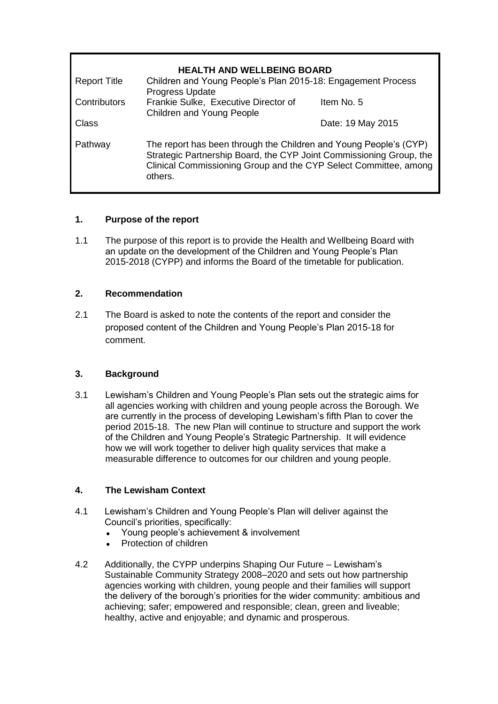| <b>HEALTH AND WELLBEING BOARD</b> |                                                                                                                                                                                                                         |                   |  |
|-----------------------------------|-------------------------------------------------------------------------------------------------------------------------------------------------------------------------------------------------------------------------|-------------------|--|
| <b>Report Title</b>               | Children and Young People's Plan 2015-18: Engagement Process<br><b>Progress Update</b>                                                                                                                                  |                   |  |
| Contributors                      | Frankie Sulke, Executive Director of<br>Children and Young People                                                                                                                                                       | Item No. 5        |  |
| Class                             |                                                                                                                                                                                                                         | Date: 19 May 2015 |  |
| Pathway                           | The report has been through the Children and Young People's (CYP)<br>Strategic Partnership Board, the CYP Joint Commissioning Group, the<br>Clinical Commissioning Group and the CYP Select Committee, among<br>others. |                   |  |

# **1. Purpose of the report**

1.1 The purpose of this report is to provide the Health and Wellbeing Board with an update on the development of the Children and Young People's Plan 2015-2018 (CYPP) and informs the Board of the timetable for publication.

### **2. Recommendation**

2.1 The Board is asked to note the contents of the report and consider the proposed content of the Children and Young People's Plan 2015-18 for comment.

#### **3. Background**

3.1 Lewisham's Children and Young People's Plan sets out the strategic aims for all agencies working with children and young people across the Borough. We are currently in the process of developing Lewisham's fifth Plan to cover the period 2015-18. The new Plan will continue to structure and support the work of the Children and Young People's Strategic Partnership. It will evidence how we will work together to deliver high quality services that make a measurable difference to outcomes for our children and young people.

# **4. The Lewisham Context**

- 4.1 Lewisham's Children and Young People's Plan will deliver against the Council's priorities, specifically:
	- Young people's achievement & involvement
	- Protection of children
- 4.2 Additionally, the CYPP underpins Shaping Our Future Lewisham's Sustainable Community Strategy 2008–2020 and sets out how partnership agencies working with children, young people and their families will support the delivery of the borough's priorities for the wider community: ambitious and achieving; safer; empowered and responsible; clean, green and liveable; healthy, active and enjoyable; and dynamic and prosperous.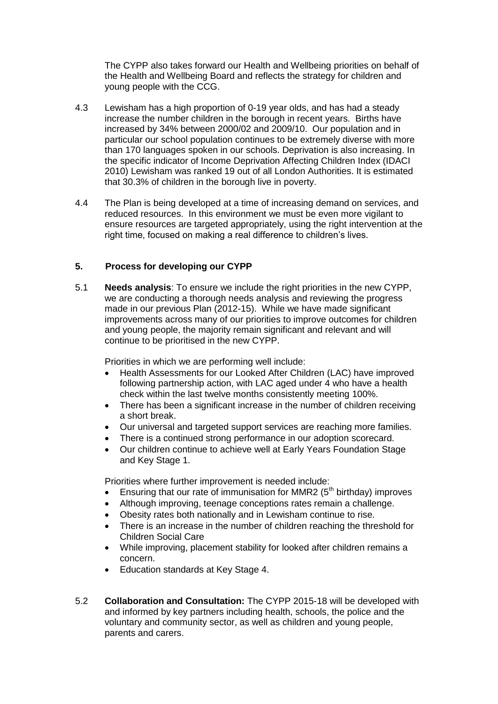The CYPP also takes forward our Health and Wellbeing priorities on behalf of the Health and Wellbeing Board and reflects the strategy for children and young people with the CCG.

- 4.3 Lewisham has a high proportion of 0-19 year olds, and has had a steady increase the number children in the borough in recent years. Births have increased by 34% between 2000/02 and 2009/10. Our population and in particular our school population continues to be extremely diverse with more than 170 languages spoken in our schools. Deprivation is also increasing. In the specific indicator of Income Deprivation Affecting Children Index (IDACI 2010) Lewisham was ranked 19 out of all London Authorities. It is estimated that 30.3% of children in the borough live in poverty.
- 4.4 The Plan is being developed at a time of increasing demand on services, and reduced resources. In this environment we must be even more vigilant to ensure resources are targeted appropriately, using the right intervention at the right time, focused on making a real difference to children's lives.

#### **5. Process for developing our CYPP**

5.1 **Needs analysis**: To ensure we include the right priorities in the new CYPP, we are conducting a thorough needs analysis and reviewing the progress made in our previous Plan (2012-15). While we have made significant improvements across many of our priorities to improve outcomes for children and young people, the majority remain significant and relevant and will continue to be prioritised in the new CYPP.

Priorities in which we are performing well include:

- Health Assessments for our Looked After Children (LAC) have improved following partnership action, with LAC aged under 4 who have a health check within the last twelve months consistently meeting 100%.
- There has been a significant increase in the number of children receiving a short break.
- Our universal and targeted support services are reaching more families.
- There is a continued strong performance in our adoption scorecard.
- Our children continue to achieve well at Early Years Foundation Stage and Key Stage 1.

Priorities where further improvement is needed include:

- **Ensuring that our rate of immunisation for MMR2 (** $5<sup>th</sup>$  **birthday) improves**
- Although improving, teenage conceptions rates remain a challenge.
- Obesity rates both nationally and in Lewisham continue to rise.
- There is an increase in the number of children reaching the threshold for Children Social Care
- While improving, placement stability for looked after children remains a concern.
- Education standards at Key Stage 4.
- 5.2 **Collaboration and Consultation:** The CYPP 2015-18 will be developed with and informed by key partners including health, schools, the police and the voluntary and community sector, as well as children and young people, parents and carers.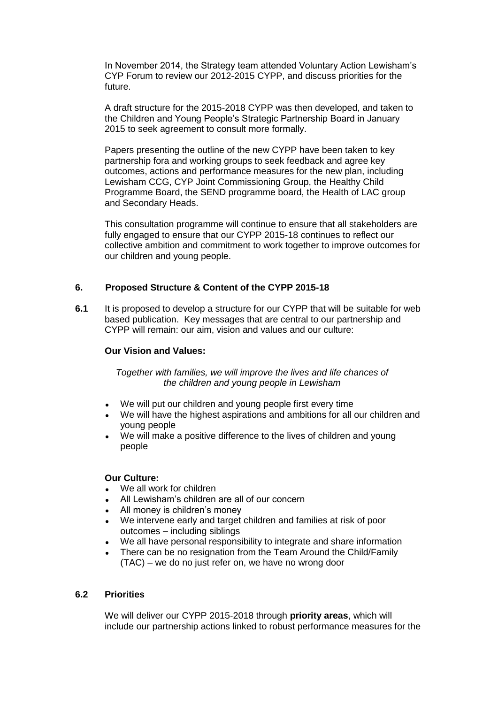In November 2014, the Strategy team attended Voluntary Action Lewisham's CYP Forum to review our 2012-2015 CYPP, and discuss priorities for the future.

A draft structure for the 2015-2018 CYPP was then developed, and taken to the Children and Young People's Strategic Partnership Board in January 2015 to seek agreement to consult more formally.

Papers presenting the outline of the new CYPP have been taken to key partnership fora and working groups to seek feedback and agree key outcomes, actions and performance measures for the new plan, including Lewisham CCG, CYP Joint Commissioning Group, the Healthy Child Programme Board, the SEND programme board, the Health of LAC group and Secondary Heads.

This consultation programme will continue to ensure that all stakeholders are fully engaged to ensure that our CYPP 2015-18 continues to reflect our collective ambition and commitment to work together to improve outcomes for our children and young people.

#### **6. Proposed Structure & Content of the CYPP 2015-18**

**6.1** It is proposed to develop a structure for our CYPP that will be suitable for web based publication. Key messages that are central to our partnership and CYPP will remain: our aim, vision and values and our culture:

#### **Our Vision and Values:**

*Together with families, we will improve the lives and life chances of the children and young people in Lewisham*

- We will put our children and young people first every time
- We will have the highest aspirations and ambitions for all our children and young people
- We will make a positive difference to the lives of children and young people

#### **Our Culture:**

- We all work for children
- All Lewisham's children are all of our concern
- All money is children's money
- We intervene early and target children and families at risk of poor outcomes – including siblings
- We all have personal responsibility to integrate and share information
- There can be no resignation from the Team Around the Child/Family (TAC) – we do no just refer on, we have no wrong door

#### **6.2 Priorities**

We will deliver our CYPP 2015-2018 through **priority areas**, which will include our partnership actions linked to robust performance measures for the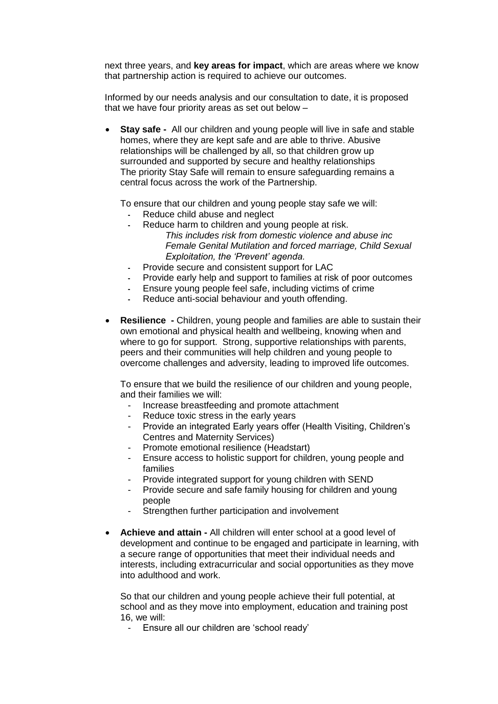next three years, and **key areas for impact**, which are areas where we know that partnership action is required to achieve our outcomes.

Informed by our needs analysis and our consultation to date, it is proposed that we have four priority areas as set out below –

 **Stay safe -** All our children and young people will live in safe and stable homes, where they are kept safe and are able to thrive. Abusive relationships will be challenged by all, so that children grow up surrounded and supported by secure and healthy relationships The priority Stay Safe will remain to ensure safeguarding remains a central focus across the work of the Partnership.

To ensure that our children and young people stay safe we will:

- **-** Reduce child abuse and neglect
- **-** Reduce harm to children and young people at risk.
	- *This includes risk from domestic violence and abuse inc Female Genital Mutilation and forced marriage, Child Sexual Exploitation, the 'Prevent' agenda.*
- **-** Provide secure and consistent support for LAC
- **-** Provide early help and support to families at risk of poor outcomes
- **-** Ensure young people feel safe, including victims of crime
- **-** Reduce anti-social behaviour and youth offending.
- **Resilience -** Children, young people and families are able to sustain their own emotional and physical health and wellbeing, knowing when and where to go for support. Strong, supportive relationships with parents, peers and their communities will help children and young people to overcome challenges and adversity, leading to improved life outcomes.

To ensure that we build the resilience of our children and young people, and their families we will:

- Increase breastfeeding and promote attachment
- Reduce toxic stress in the early years
- Provide an integrated Early years offer (Health Visiting, Children's Centres and Maternity Services)
- Promote emotional resilience (Headstart)
- Ensure access to holistic support for children, young people and families
- Provide integrated support for young children with SEND
- Provide secure and safe family housing for children and young people
- Strengthen further participation and involvement
- **Achieve and attain -** All children will enter school at a good level of development and continue to be engaged and participate in learning, with a secure range of opportunities that meet their individual needs and interests, including extracurricular and social opportunities as they move into adulthood and work.

So that our children and young people achieve their full potential, at school and as they move into employment, education and training post 16, we will:

- Ensure all our children are 'school ready'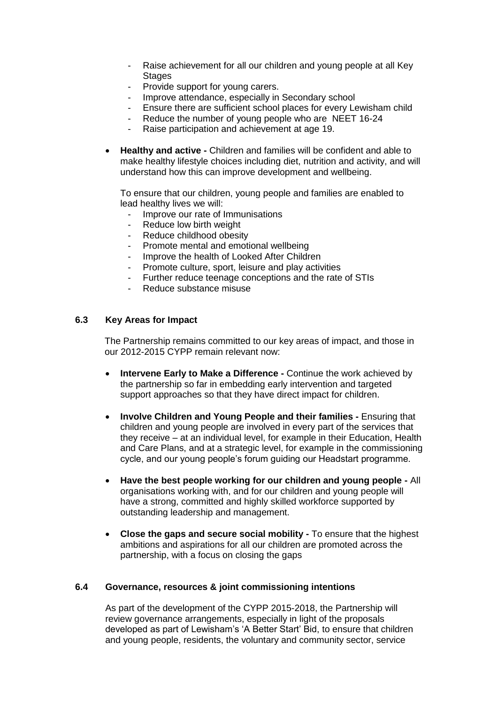- Raise achievement for all our children and young people at all Key **Stages**
- Provide support for young carers.<br>- Improve attendance, especially in
- Improve attendance, especially in Secondary school
- Ensure there are sufficient school places for every Lewisham child
- Reduce the number of young people who are NEET 16-24
- Raise participation and achievement at age 19.
- **Healthy and active -** Children and families will be confident and able to make healthy lifestyle choices including diet, nutrition and activity, and will understand how this can improve development and wellbeing.

To ensure that our children, young people and families are enabled to lead healthy lives we will:

- Improve our rate of Immunisations
- Reduce low birth weight
- Reduce childhood obesity
- Promote mental and emotional wellbeing
- Improve the health of Looked After Children<br>- Promote culture, sport, leisure and play active
- Promote culture, sport, leisure and play activities
- Further reduce teenage conceptions and the rate of STIs
- Reduce substance misuse

#### **6.3 Key Areas for Impact**

The Partnership remains committed to our key areas of impact, and those in our 2012-2015 CYPP remain relevant now:

- **Intervene Early to Make a Difference -** Continue the work achieved by the partnership so far in embedding early intervention and targeted support approaches so that they have direct impact for children.
- **Involve Children and Young People and their families -** Ensuring that children and young people are involved in every part of the services that they receive – at an individual level, for example in their Education, Health and Care Plans, and at a strategic level, for example in the commissioning cycle, and our young people's forum guiding our Headstart programme.
- **Have the best people working for our children and young people -** All organisations working with, and for our children and young people will have a strong, committed and highly skilled workforce supported by outstanding leadership and management.
- **Close the gaps and secure social mobility -** To ensure that the highest ambitions and aspirations for all our children are promoted across the partnership, with a focus on closing the gaps

#### **6.4 Governance, resources & joint commissioning intentions**

As part of the development of the CYPP 2015-2018, the Partnership will review governance arrangements, especially in light of the proposals developed as part of Lewisham's 'A Better Start' Bid, to ensure that children and young people, residents, the voluntary and community sector, service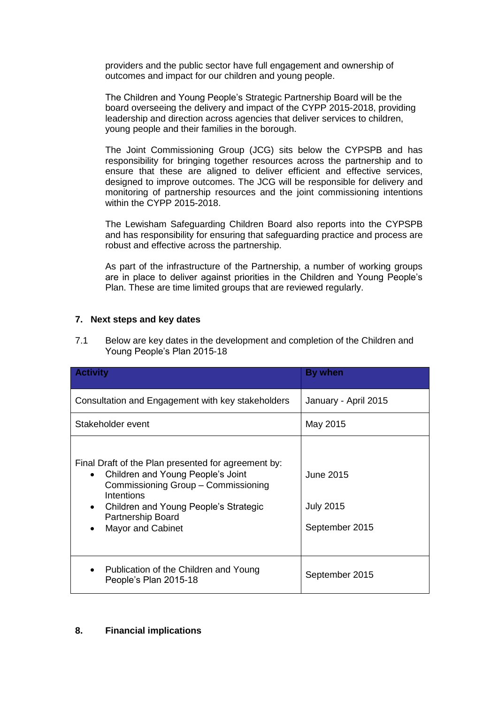providers and the public sector have full engagement and ownership of outcomes and impact for our children and young people.

The Children and Young People's Strategic Partnership Board will be the board overseeing the delivery and impact of the CYPP 2015-2018, providing leadership and direction across agencies that deliver services to children, young people and their families in the borough.

The Joint Commissioning Group (JCG) sits below the CYPSPB and has responsibility for bringing together resources across the partnership and to ensure that these are aligned to deliver efficient and effective services, designed to improve outcomes. The JCG will be responsible for delivery and monitoring of partnership resources and the joint commissioning intentions within the CYPP 2015-2018.

The Lewisham Safeguarding Children Board also reports into the CYPSPB and has responsibility for ensuring that safeguarding practice and process are robust and effective across the partnership.

As part of the infrastructure of the Partnership, a number of working groups are in place to deliver against priorities in the Children and Young People's Plan. These are time limited groups that are reviewed regularly.

### **7. Next steps and key dates**

7.1 Below are key dates in the development and completion of the Children and Young People's Plan 2015-18

| <b>Activity</b>                                                                                                                                                                                                                                                         | <b>By when</b>                                  |
|-------------------------------------------------------------------------------------------------------------------------------------------------------------------------------------------------------------------------------------------------------------------------|-------------------------------------------------|
| Consultation and Engagement with key stakeholders                                                                                                                                                                                                                       | January - April 2015                            |
| Stakeholder event                                                                                                                                                                                                                                                       | May 2015                                        |
| Final Draft of the Plan presented for agreement by:<br>Children and Young People's Joint<br>$\bullet$<br>Commissioning Group - Commissioning<br>Intentions<br>Children and Young People's Strategic<br>$\bullet$<br>Partnership Board<br>Mayor and Cabinet<br>$\bullet$ | June 2015<br><b>July 2015</b><br>September 2015 |
| Publication of the Children and Young<br>$\bullet$<br>People's Plan 2015-18                                                                                                                                                                                             | September 2015                                  |

#### **8. Financial implications**